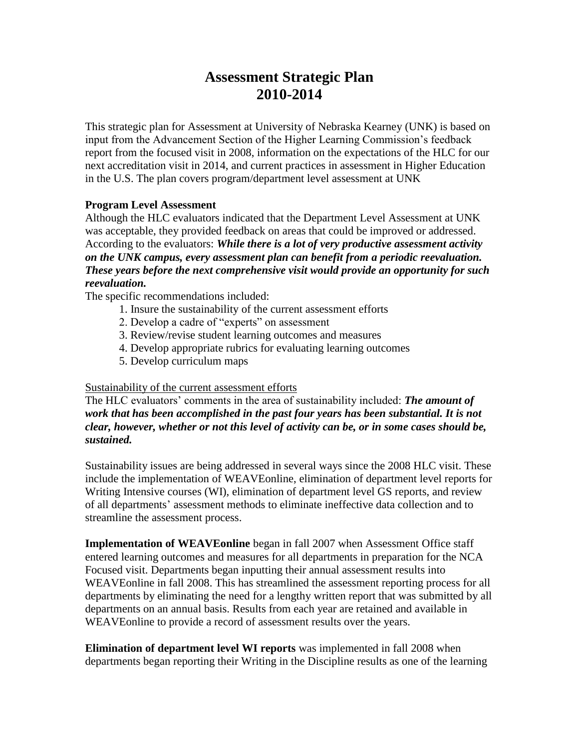# **Assessment Strategic Plan 2010-2014**

This strategic plan for Assessment at University of Nebraska Kearney (UNK) is based on input from the Advancement Section of the Higher Learning Commission's feedback report from the focused visit in 2008, information on the expectations of the HLC for our next accreditation visit in 2014, and current practices in assessment in Higher Education in the U.S. The plan covers program/department level assessment at UNK

## **Program Level Assessment**

Although the HLC evaluators indicated that the Department Level Assessment at UNK was acceptable, they provided feedback on areas that could be improved or addressed. According to the evaluators: *While there is a lot of very productive assessment activity on the UNK campus, every assessment plan can benefit from a periodic reevaluation. These years before the next comprehensive visit would provide an opportunity for such reevaluation.* 

The specific recommendations included:

- 1. Insure the sustainability of the current assessment efforts
- 2. Develop a cadre of "experts" on assessment
- 3. Review/revise student learning outcomes and measures
- 4. Develop appropriate rubrics for evaluating learning outcomes
- 5. Develop curriculum maps

## Sustainability of the current assessment efforts

The HLC evaluators' comments in the area of sustainability included: *The amount of work that has been accomplished in the past four years has been substantial. It is not clear, however, whether or not this level of activity can be, or in some cases should be, sustained.* 

Sustainability issues are being addressed in several ways since the 2008 HLC visit. These include the implementation of WEAVEonline, elimination of department level reports for Writing Intensive courses (WI), elimination of department level GS reports, and review of all departments' assessment methods to eliminate ineffective data collection and to streamline the assessment process.

**Implementation of WEAVEonline** began in fall 2007 when Assessment Office staff entered learning outcomes and measures for all departments in preparation for the NCA Focused visit. Departments began inputting their annual assessment results into WEAVEonline in fall 2008. This has streamlined the assessment reporting process for all departments by eliminating the need for a lengthy written report that was submitted by all departments on an annual basis. Results from each year are retained and available in WEAVEonline to provide a record of assessment results over the years.

**Elimination of department level WI reports** was implemented in fall 2008 when departments began reporting their Writing in the Discipline results as one of the learning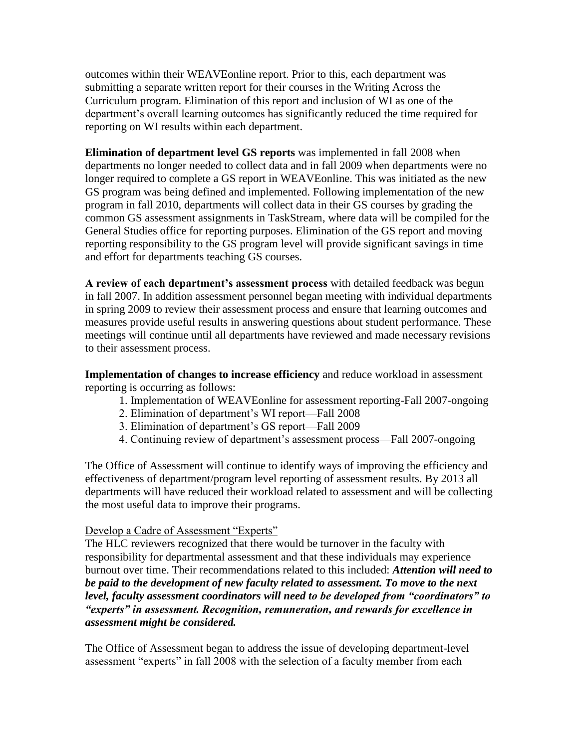outcomes within their WEAVEonline report. Prior to this, each department was submitting a separate written report for their courses in the Writing Across the Curriculum program. Elimination of this report and inclusion of WI as one of the department's overall learning outcomes has significantly reduced the time required for reporting on WI results within each department.

**Elimination of department level GS reports** was implemented in fall 2008 when departments no longer needed to collect data and in fall 2009 when departments were no longer required to complete a GS report in WEAVEonline. This was initiated as the new GS program was being defined and implemented. Following implementation of the new program in fall 2010, departments will collect data in their GS courses by grading the common GS assessment assignments in TaskStream, where data will be compiled for the General Studies office for reporting purposes. Elimination of the GS report and moving reporting responsibility to the GS program level will provide significant savings in time and effort for departments teaching GS courses.

**A review of each department's assessment process** with detailed feedback was begun in fall 2007. In addition assessment personnel began meeting with individual departments in spring 2009 to review their assessment process and ensure that learning outcomes and measures provide useful results in answering questions about student performance. These meetings will continue until all departments have reviewed and made necessary revisions to their assessment process.

**Implementation of changes to increase efficiency** and reduce workload in assessment reporting is occurring as follows:

- 1. Implementation of WEAVEonline for assessment reporting-Fall 2007-ongoing
- 2. Elimination of department's WI report—Fall 2008
- 3. Elimination of department's GS report—Fall 2009
- 4. Continuing review of department's assessment process—Fall 2007-ongoing

The Office of Assessment will continue to identify ways of improving the efficiency and effectiveness of department/program level reporting of assessment results. By 2013 all departments will have reduced their workload related to assessment and will be collecting the most useful data to improve their programs.

## Develop a Cadre of Assessment "Experts"

The HLC reviewers recognized that there would be turnover in the faculty with responsibility for departmental assessment and that these individuals may experience burnout over time. Their recommendations related to this included: *Attention will need to be paid to the development of new faculty related to assessment. To move to the next level, faculty assessment coordinators will need to be developed from "coordinators" to "experts" in assessment. Recognition, remuneration, and rewards for excellence in assessment might be considered.* 

The Office of Assessment began to address the issue of developing department-level assessment "experts" in fall 2008 with the selection of a faculty member from each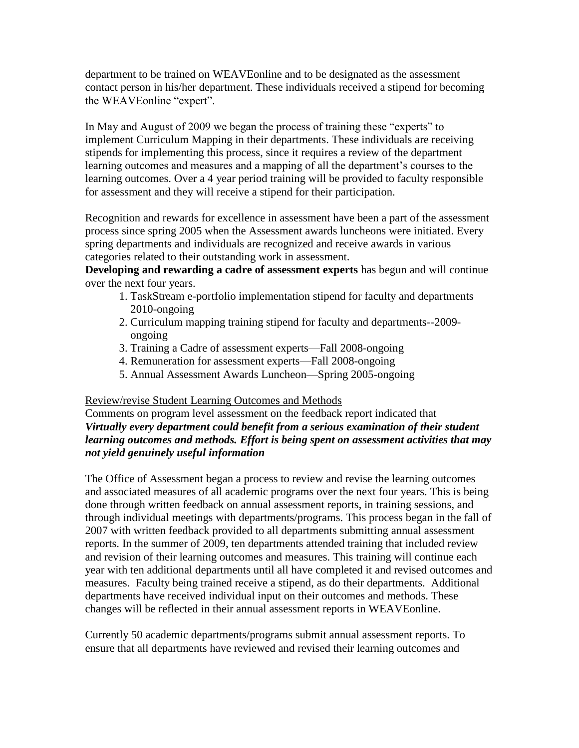department to be trained on WEAVEonline and to be designated as the assessment contact person in his/her department. These individuals received a stipend for becoming the WEAVEonline "expert".

In May and August of 2009 we began the process of training these "experts" to implement Curriculum Mapping in their departments. These individuals are receiving stipends for implementing this process, since it requires a review of the department learning outcomes and measures and a mapping of all the department's courses to the learning outcomes. Over a 4 year period training will be provided to faculty responsible for assessment and they will receive a stipend for their participation.

Recognition and rewards for excellence in assessment have been a part of the assessment process since spring 2005 when the Assessment awards luncheons were initiated. Every spring departments and individuals are recognized and receive awards in various categories related to their outstanding work in assessment.

**Developing and rewarding a cadre of assessment experts** has begun and will continue over the next four years.

- 1. TaskStream e-portfolio implementation stipend for faculty and departments 2010-ongoing
- 2. Curriculum mapping training stipend for faculty and departments--2009 ongoing
- 3. Training a Cadre of assessment experts—Fall 2008-ongoing
- 4. Remuneration for assessment experts—Fall 2008-ongoing
- 5. Annual Assessment Awards Luncheon—Spring 2005-ongoing

# Review/revise Student Learning Outcomes and Methods

Comments on program level assessment on the feedback report indicated that *Virtually every department could benefit from a serious examination of their student learning outcomes and methods. Effort is being spent on assessment activities that may not yield genuinely useful information* 

The Office of Assessment began a process to review and revise the learning outcomes and associated measures of all academic programs over the next four years. This is being done through written feedback on annual assessment reports, in training sessions, and through individual meetings with departments/programs. This process began in the fall of 2007 with written feedback provided to all departments submitting annual assessment reports. In the summer of 2009, ten departments attended training that included review and revision of their learning outcomes and measures. This training will continue each year with ten additional departments until all have completed it and revised outcomes and measures. Faculty being trained receive a stipend, as do their departments. Additional departments have received individual input on their outcomes and methods. These changes will be reflected in their annual assessment reports in WEAVEonline.

Currently 50 academic departments/programs submit annual assessment reports. To ensure that all departments have reviewed and revised their learning outcomes and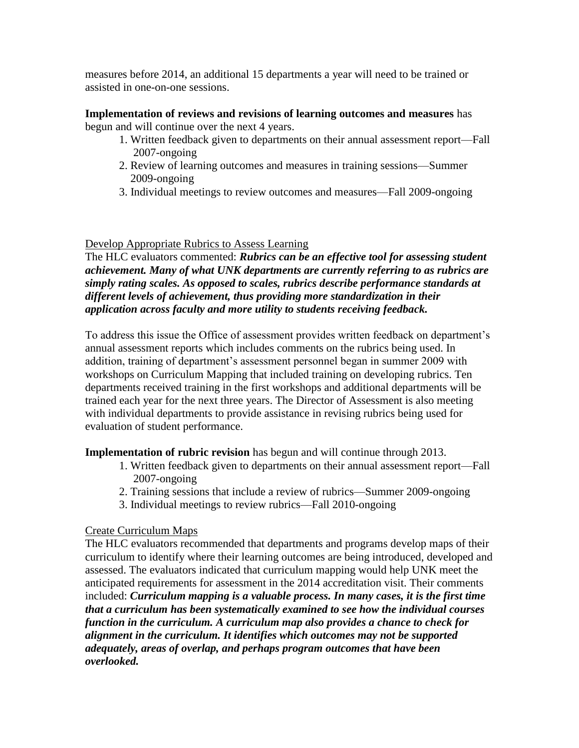measures before 2014, an additional 15 departments a year will need to be trained or assisted in one-on-one sessions.

**Implementation of reviews and revisions of learning outcomes and measures** has begun and will continue over the next 4 years.

- 1. Written feedback given to departments on their annual assessment report—Fall 2007-ongoing
- 2. Review of learning outcomes and measures in training sessions—Summer 2009-ongoing
- 3. Individual meetings to review outcomes and measures—Fall 2009-ongoing

## Develop Appropriate Rubrics to Assess Learning

The HLC evaluators commented: *Rubrics can be an effective tool for assessing student achievement. Many of what UNK departments are currently referring to as rubrics are simply rating scales. As opposed to scales, rubrics describe performance standards at different levels of achievement, thus providing more standardization in their application across faculty and more utility to students receiving feedback.* 

To address this issue the Office of assessment provides written feedback on department's annual assessment reports which includes comments on the rubrics being used. In addition, training of department's assessment personnel began in summer 2009 with workshops on Curriculum Mapping that included training on developing rubrics. Ten departments received training in the first workshops and additional departments will be trained each year for the next three years. The Director of Assessment is also meeting with individual departments to provide assistance in revising rubrics being used for evaluation of student performance.

**Implementation of rubric revision** has begun and will continue through 2013.

- 1. Written feedback given to departments on their annual assessment report—Fall 2007-ongoing
- 2. Training sessions that include a review of rubrics—Summer 2009-ongoing
- 3. Individual meetings to review rubrics—Fall 2010-ongoing

# Create Curriculum Maps

The HLC evaluators recommended that departments and programs develop maps of their curriculum to identify where their learning outcomes are being introduced, developed and assessed. The evaluators indicated that curriculum mapping would help UNK meet the anticipated requirements for assessment in the 2014 accreditation visit. Their comments included: *Curriculum mapping is a valuable process. In many cases, it is the first time that a curriculum has been systematically examined to see how the individual courses function in the curriculum. A curriculum map also provides a chance to check for alignment in the curriculum. It identifies which outcomes may not be supported adequately, areas of overlap, and perhaps program outcomes that have been overlooked.*